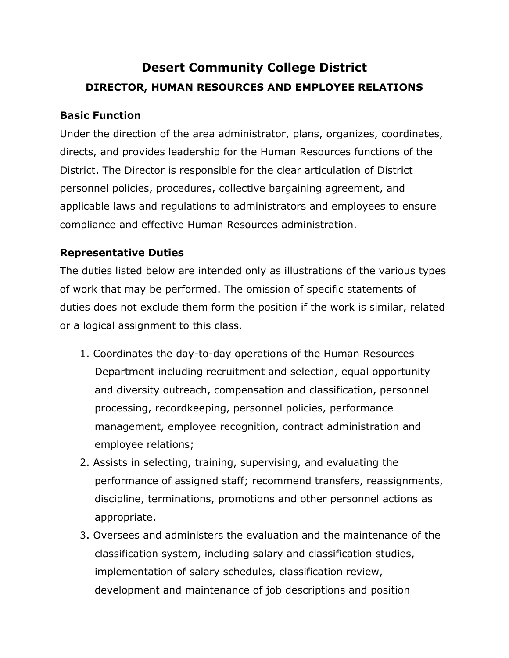# **Desert Community College District DIRECTOR, HUMAN RESOURCES AND EMPLOYEE RELATIONS**

## **Basic Function**

Under the direction of the area administrator, plans, organizes, coordinates, directs, and provides leadership for the Human Resources functions of the District. The Director is responsible for the clear articulation of District personnel policies, procedures, collective bargaining agreement, and applicable laws and regulations to administrators and employees to ensure compliance and effective Human Resources administration.

# **Representative Duties**

The duties listed below are intended only as illustrations of the various types of work that may be performed. The omission of specific statements of duties does not exclude them form the position if the work is similar, related or a logical assignment to this class.

- 1. Coordinates the day-to-day operations of the Human Resources Department including recruitment and selection, equal opportunity and diversity outreach, compensation and classification, personnel processing, recordkeeping, personnel policies, performance management, employee recognition, contract administration and employee relations;
- 2. Assists in selecting, training, supervising, and evaluating the performance of assigned staff; recommend transfers, reassignments, discipline, terminations, promotions and other personnel actions as appropriate.
- 3. Oversees and administers the evaluation and the maintenance of the classification system, including salary and classification studies, implementation of salary schedules, classification review, development and maintenance of job descriptions and position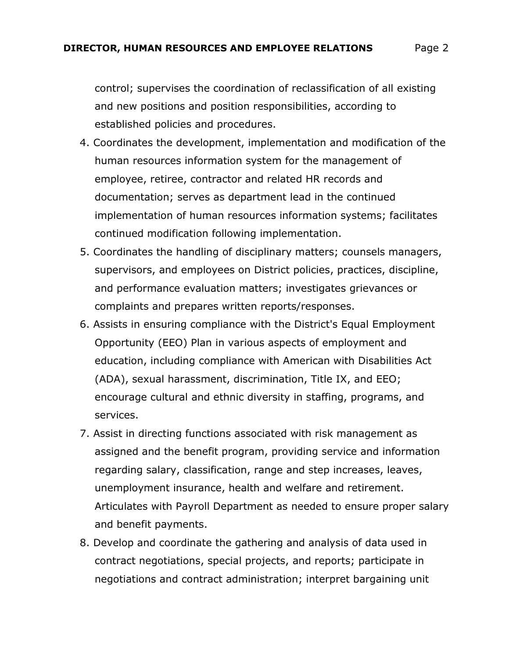control; supervises the coordination of reclassification of all existing and new positions and position responsibilities, according to established policies and procedures.

- 4. Coordinates the development, implementation and modification of the human resources information system for the management of employee, retiree, contractor and related HR records and documentation; serves as department lead in the continued implementation of human resources information systems; facilitates continued modification following implementation.
- 5. Coordinates the handling of disciplinary matters; counsels managers, supervisors, and employees on District policies, practices, discipline, and performance evaluation matters; investigates grievances or complaints and prepares written reports/responses.
- 6. Assists in ensuring compliance with the District's Equal Employment Opportunity (EEO) Plan in various aspects of employment and education, including compliance with American with Disabilities Act (ADA), sexual harassment, discrimination, Title IX, and EEO; encourage cultural and ethnic diversity in staffing, programs, and services.
- 7. Assist in directing functions associated with risk management as assigned and the benefit program, providing service and information regarding salary, classification, range and step increases, leaves, unemployment insurance, health and welfare and retirement. Articulates with Payroll Department as needed to ensure proper salary and benefit payments.
- 8. Develop and coordinate the gathering and analysis of data used in contract negotiations, special projects, and reports; participate in negotiations and contract administration; interpret bargaining unit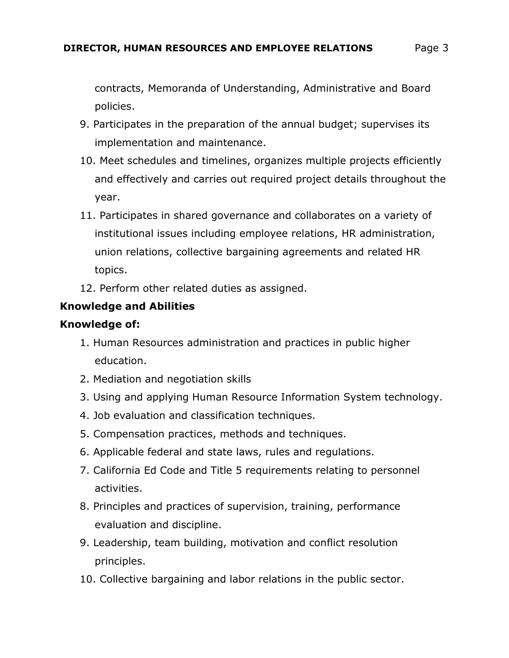contracts, Memoranda of Understanding, Administrative and Board policies.

- 9. Participates in the preparation of the annual budget; supervises its implementation and maintenance.
- 10. Meet schedules and timelines, organizes multiple projects efficiently and effectively and carries out required project details throughout the year.
- 11. Participates in shared governance and collaborates on a variety of institutional issues including employee relations, HR administration, union relations, collective bargaining agreements and related HR topics.
- 12. Perform other related duties as assigned.

# **Knowledge and Abilities**

## **Knowledge of:**

- 1. Human Resources administration and practices in public higher education.
- 2. Mediation and negotiation skills
- 3. Using and applying Human Resource Information System technology.
- 4. Job evaluation and classification techniques.
- 5. Compensation practices, methods and techniques.
- 6. Applicable federal and state laws, rules and regulations.
- 7. California Ed Code and Title 5 requirements relating to personnel activities.
- 8. Principles and practices of supervision, training, performance evaluation and discipline.
- 9. Leadership, team building, motivation and conflict resolution principles.
- 10. Collective bargaining and labor relations in the public sector.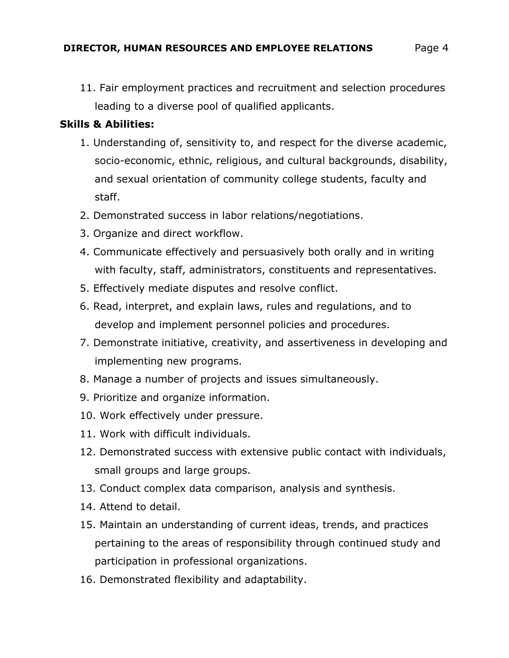11. Fair employment practices and recruitment and selection procedures leading to a diverse pool of qualified applicants.

#### **Skills & Abilities:**

- 1. Understanding of, sensitivity to, and respect for the diverse academic, socio-economic, ethnic, religious, and cultural backgrounds, disability, and sexual orientation of community college students, faculty and staff.
- 2. Demonstrated success in labor relations/negotiations.
- 3. Organize and direct workflow.
- 4. Communicate effectively and persuasively both orally and in writing with faculty, staff, administrators, constituents and representatives.
- 5. Effectively mediate disputes and resolve conflict.
- 6. Read, interpret, and explain laws, rules and regulations, and to develop and implement personnel policies and procedures.
- 7. Demonstrate initiative, creativity, and assertiveness in developing and implementing new programs.
- 8. Manage a number of projects and issues simultaneously.
- 9. Prioritize and organize information.
- 10. Work effectively under pressure.
- 11. Work with difficult individuals.
- 12. Demonstrated success with extensive public contact with individuals, small groups and large groups.
- 13. Conduct complex data comparison, analysis and synthesis.
- 14. Attend to detail.
- 15. Maintain an understanding of current ideas, trends, and practices pertaining to the areas of responsibility through continued study and participation in professional organizations.
- 16. Demonstrated flexibility and adaptability.